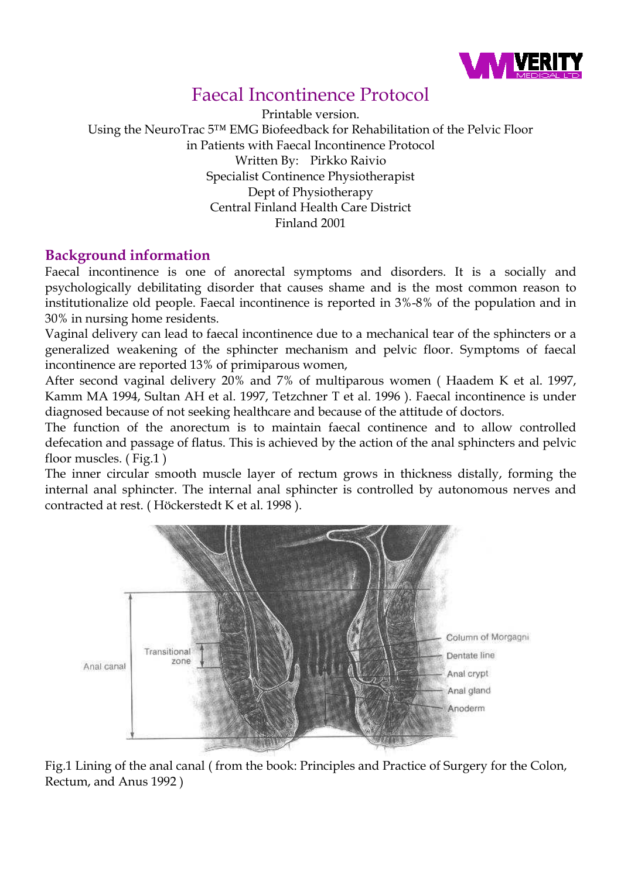

# Faecal Incontinence Protocol

Printable version. Using the NeuroTrac 5™ EMG Biofeedback for Rehabilitation of the Pelvic Floor in Patients with Faecal Incontinence Protocol Written By: Pirkko Raivio Specialist Continence Physiotherapist Dept of Physiotherapy Central Finland Health Care District Finland 2001

## **Background information**

Faecal incontinence is one of anorectal symptoms and disorders. It is a socially and psychologically debilitating disorder that causes shame and is the most common reason to institutionalize old people. Faecal incontinence is reported in 3%-8% of the population and in 30% in nursing home residents.

Vaginal delivery can lead to faecal incontinence due to a mechanical tear of the sphincters or a generalized weakening of the sphincter mechanism and pelvic floor. Symptoms of faecal incontinence are reported 13% of primiparous women,

After second vaginal delivery 20% and 7% of multiparous women ( Haadem K et al. 1997, Kamm MA 1994, Sultan AH et al. 1997, Tetzchner T et al. 1996 ). Faecal incontinence is under diagnosed because of not seeking healthcare and because of the attitude of doctors.

The function of the anorectum is to maintain faecal continence and to allow controlled defecation and passage of flatus. This is achieved by the action of the anal sphincters and pelvic floor muscles. ( Fig.1 )

The inner circular smooth muscle layer of rectum grows in thickness distally, forming the internal anal sphincter. The internal anal sphincter is controlled by autonomous nerves and contracted at rest. ( Höckerstedt K et al. 1998 ).



Fig.1 Lining of the anal canal ( from the book: Principles and Practice of Surgery for the Colon, Rectum, and Anus 1992 )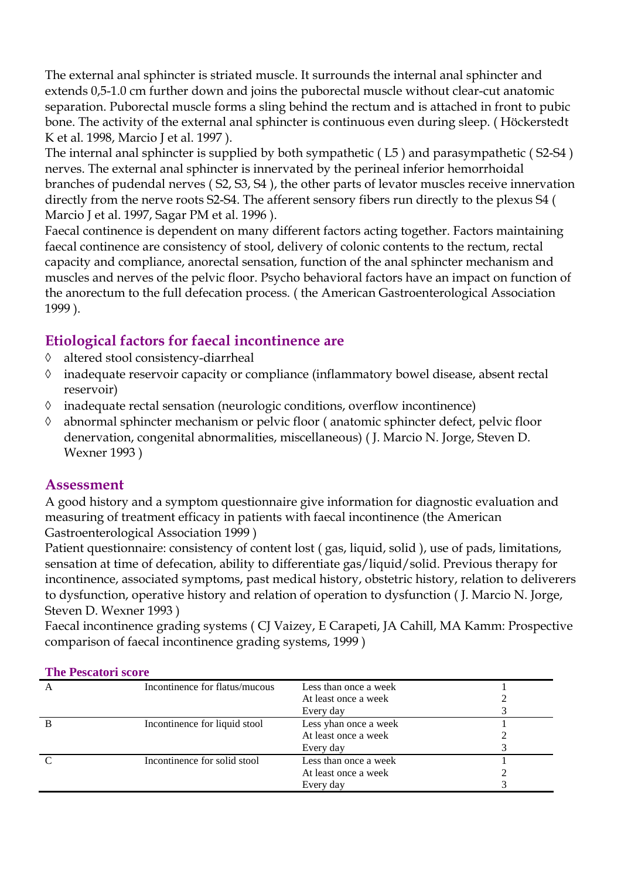The external anal sphincter is striated muscle. It surrounds the internal anal sphincter and extends 0,5-1.0 cm further down and joins the puborectal muscle without clear-cut anatomic separation. Puborectal muscle forms a sling behind the rectum and is attached in front to pubic bone. The activity of the external anal sphincter is continuous even during sleep. ( Höckerstedt K et al. 1998, Marcio J et al. 1997 ).

The internal anal sphincter is supplied by both sympathetic ( L5 ) and parasympathetic ( S2-S4 ) nerves. The external anal sphincter is innervated by the perineal inferior hemorrhoidal branches of pudendal nerves ( S2, S3, S4 ), the other parts of levator muscles receive innervation directly from the nerve roots S2-S4. The afferent sensory fibers run directly to the plexus S4 ( Marcio J et al. 1997, Sagar PM et al. 1996 ).

Faecal continence is dependent on many different factors acting together. Factors maintaining faecal continence are consistency of stool, delivery of colonic contents to the rectum, rectal capacity and compliance, anorectal sensation, function of the anal sphincter mechanism and muscles and nerves of the pelvic floor. Psycho behavioral factors have an impact on function of the anorectum to the full defecation process. ( the American Gastroenterological Association 1999 ).

## **Etiological factors for faecal incontinence are**

- ◊ altered stool consistency-diarrheal
- ◊ inadequate reservoir capacity or compliance (inflammatory bowel disease, absent rectal reservoir)
- ◊ inadequate rectal sensation (neurologic conditions, overflow incontinence)
- ◊ abnormal sphincter mechanism or pelvic floor ( anatomic sphincter defect, pelvic floor denervation, congenital abnormalities, miscellaneous) ( J. Marcio N. Jorge, Steven D. Wexner 1993 )

### **Assessment**

A good history and a symptom questionnaire give information for diagnostic evaluation and measuring of treatment efficacy in patients with faecal incontinence (the American Gastroenterological Association 1999 )

Patient questionnaire: consistency of content lost ( gas, liquid, solid ), use of pads, limitations, sensation at time of defecation, ability to differentiate gas/liquid/solid. Previous therapy for incontinence, associated symptoms, past medical history, obstetric history, relation to deliverers to dysfunction, operative history and relation of operation to dysfunction ( J. Marcio N. Jorge, Steven D. Wexner 1993 )

Faecal incontinence grading systems ( CJ Vaizey, E Carapeti, JA Cahill, MA Kamm: Prospective comparison of faecal incontinence grading systems, 1999 )

| A | Incontinence for flatus/mucous | Less than once a week |  |
|---|--------------------------------|-----------------------|--|
|   |                                | At least once a week  |  |
|   |                                | Every day             |  |
|   | Incontinence for liquid stool  | Less yhan once a week |  |
|   |                                | At least once a week  |  |
|   |                                | Every day             |  |
|   | Incontinence for solid stool   | Less than once a week |  |
|   |                                | At least once a week  |  |
|   |                                | Every day             |  |

#### **The Pescatori score**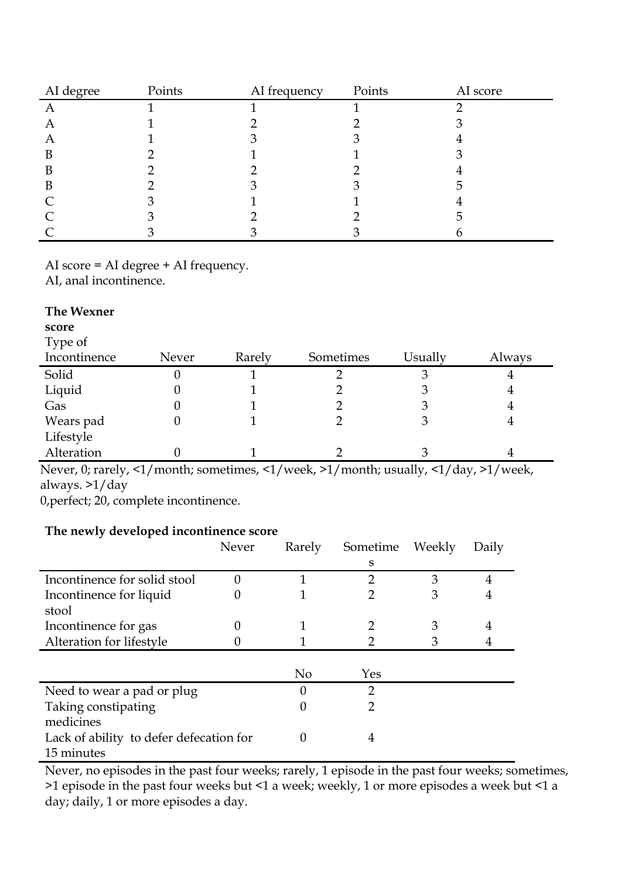| AI degree | Points | AI frequency | Points | AI score |
|-----------|--------|--------------|--------|----------|
| Α         |        |              |        |          |
| A         |        |              |        |          |
| A         |        |              |        |          |
| B         |        |              |        |          |
| В         |        |              |        |          |
| B         |        |              |        |          |
|           |        |              |        |          |
|           |        |              |        |          |
|           |        |              |        |          |

AI score = AI degree + AI frequency.

AI, anal incontinence.

| The Wexner   |       |        |           |         |        |
|--------------|-------|--------|-----------|---------|--------|
| score        |       |        |           |         |        |
| Type of      |       |        |           |         |        |
| Incontinence | Never | Rarely | Sometimes | Usually | Always |
| Solid        | O     |        |           | З       | 4      |
| Liquid       |       |        |           | 3       | 4      |
| Gas          |       |        |           | 3       | 4      |
| Wears pad    | 0     |        |           | З       | 4      |
| Lifestyle    |       |        |           |         |        |
| Alteration   |       |        |           | З       |        |

Never, 0; rarely, <1/month; sometimes, <1/week, >1/month; usually, <1/day, >1/week, always. >1/day

0,perfect; 20, complete incontinence.

### **The newly developed incontinence score**

|                                         | Never | Rarely         | Sometime | Weekly | Daily |
|-----------------------------------------|-------|----------------|----------|--------|-------|
|                                         |       |                | S        |        |       |
| Incontinence for solid stool            |       | 1              | 2        | 3      | 4     |
| Incontinence for liquid                 |       |                | 2        | 3      |       |
| stool                                   |       |                |          |        |       |
| Incontinence for gas                    | 0     |                |          | 3      | 4     |
| Alteration for lifestyle                |       |                | 2        | 3      |       |
|                                         |       |                |          |        |       |
|                                         |       | N <sub>o</sub> | Yes      |        |       |
| Need to wear a pad or plug              |       |                | 2        |        |       |
| Taking constipating                     |       |                | 2        |        |       |
| medicines                               |       |                |          |        |       |
| Lack of ability to defer defecation for |       |                | 4        |        |       |
| 15 minutes                              |       |                |          |        |       |

Never, no episodes in the past four weeks; rarely, 1 episode in the past four weeks; sometimes, >1 episode in the past four weeks but <1 a week; weekly, 1 or more episodes a week but <1 a day; daily, 1 or more episodes a day.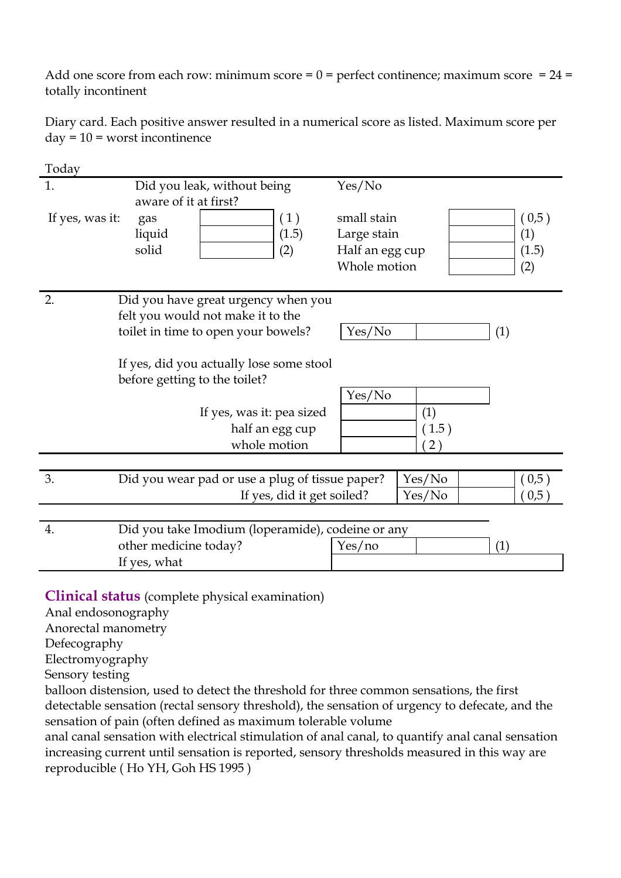Add one score from each row: minimum score =  $0$  = perfect continence; maximum score =  $24$  = totally incontinent

Diary card. Each positive answer resulted in a numerical score as listed. Maximum score per  $day = 10 =$  worst incontinence

| Today           |                                                   |                            |                 |        |       |
|-----------------|---------------------------------------------------|----------------------------|-----------------|--------|-------|
| 1.              | Did you leak, without being                       |                            | Yes/No          |        |       |
|                 | aware of it at first?                             |                            |                 |        |       |
| If yes, was it: | gas                                               | (1)                        | small stain     |        | (0,5) |
|                 | liquid                                            | (1.5)                      | Large stain     |        | (1)   |
|                 | solid                                             | (2)                        | Half an egg cup |        | (1.5) |
|                 |                                                   |                            | Whole motion    |        | (2)   |
|                 |                                                   |                            |                 |        |       |
| 2.              | Did you have great urgency when you               |                            |                 |        |       |
|                 | felt you would not make it to the                 |                            |                 |        |       |
|                 | toilet in time to open your bowels?               |                            | Yes/No          |        | (1)   |
|                 |                                                   |                            |                 |        |       |
|                 | If yes, did you actually lose some stool          |                            |                 |        |       |
|                 | before getting to the toilet?                     |                            |                 |        |       |
|                 |                                                   |                            | Yes/No          |        |       |
|                 | If yes, was it: pea sized                         |                            |                 | (1)    |       |
|                 | half an egg cup                                   |                            |                 | (1.5)  |       |
|                 | whole motion                                      |                            |                 | 2)     |       |
|                 |                                                   |                            |                 |        |       |
| 3.              | Did you wear pad or use a plug of tissue paper?   |                            |                 | Yes/No | (0,5) |
|                 |                                                   | If yes, did it get soiled? |                 | Yes/No | 0,5)  |
|                 |                                                   |                            |                 |        |       |
| 4.              | Did you take Imodium (loperamide), codeine or any |                            |                 |        |       |
|                 | other medicine today?                             |                            | Yes/no          |        | (1)   |
|                 | If yes, what                                      |                            |                 |        |       |
|                 |                                                   |                            |                 |        |       |

**Clinical status** (complete physical examination)

Anal endosonography

Anorectal manometry

Defecography

Electromyography

Sensory testing

balloon distension, used to detect the threshold for three common sensations, the first detectable sensation (rectal sensory threshold), the sensation of urgency to defecate, and the sensation of pain (often defined as maximum tolerable volume

anal canal sensation with electrical stimulation of anal canal, to quantify anal canal sensation increasing current until sensation is reported, sensory thresholds measured in this way are reproducible ( Ho YH, Goh HS 1995 )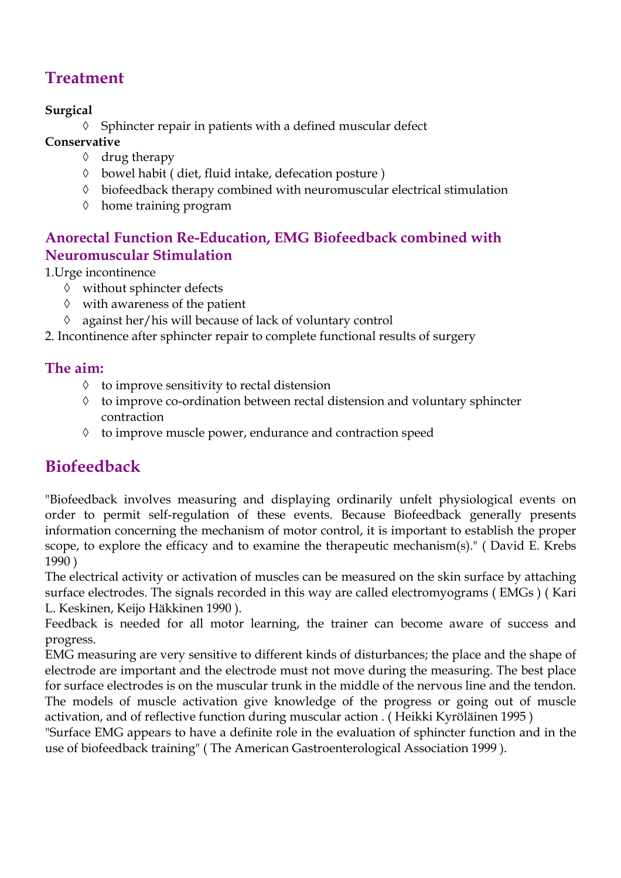# **Treatment**

## **Surgical**

◊ Sphincter repair in patients with a defined muscular defect

- **Conservative** 
	- ◊ drug therapy
	- ◊ bowel habit ( diet, fluid intake, defecation posture )
	- ◊ biofeedback therapy combined with neuromuscular electrical stimulation
	- ◊ home training program

# **Anorectal Function Re-Education, EMG Biofeedback combined with Neuromuscular Stimulation**

1.Urge incontinence

- ◊ without sphincter defects
- ◊ with awareness of the patient
- ◊ against her/his will because of lack of voluntary control

2. Incontinence after sphincter repair to complete functional results of surgery

# **The aim:**

- ◊ to improve sensitivity to rectal distension
- ◊ to improve co-ordination between rectal distension and voluntary sphincter contraction
- ◊ to improve muscle power, endurance and contraction speed

# **Biofeedback**

"Biofeedback involves measuring and displaying ordinarily unfelt physiological events on order to permit self-regulation of these events. Because Biofeedback generally presents information concerning the mechanism of motor control, it is important to establish the proper scope, to explore the efficacy and to examine the therapeutic mechanism(s)." ( David E. Krebs 1990 )

The electrical activity or activation of muscles can be measured on the skin surface by attaching surface electrodes. The signals recorded in this way are called electromyograms ( EMGs ) ( Kari L. Keskinen, Keijo Häkkinen 1990 ).

Feedback is needed for all motor learning, the trainer can become aware of success and progress.

EMG measuring are very sensitive to different kinds of disturbances; the place and the shape of electrode are important and the electrode must not move during the measuring. The best place for surface electrodes is on the muscular trunk in the middle of the nervous line and the tendon. The models of muscle activation give knowledge of the progress or going out of muscle activation, and of reflective function during muscular action . ( Heikki Kyröläinen 1995 )

"Surface EMG appears to have a definite role in the evaluation of sphincter function and in the use of biofeedback training" ( The American Gastroenterological Association 1999 ).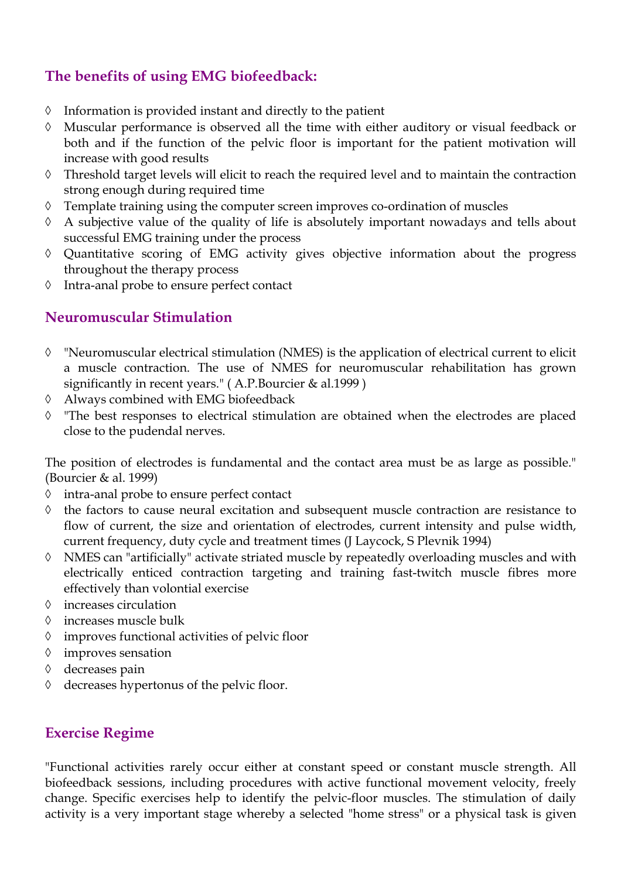## **The benefits of using EMG biofeedback:**

- ◊ Information is provided instant and directly to the patient
- ◊ Muscular performance is observed all the time with either auditory or visual feedback or both and if the function of the pelvic floor is important for the patient motivation will increase with good results
- ◊ Threshold target levels will elicit to reach the required level and to maintain the contraction strong enough during required time
- ◊ Template training using the computer screen improves co-ordination of muscles
- ◊ A subjective value of the quality of life is absolutely important nowadays and tells about successful EMG training under the process
- ◊ Quantitative scoring of EMG activity gives objective information about the progress throughout the therapy process
- ◊ Intra-anal probe to ensure perfect contact

## **Neuromuscular Stimulation**

- ◊ "Neuromuscular electrical stimulation (NMES) is the application of electrical current to elicit a muscle contraction. The use of NMES for neuromuscular rehabilitation has grown significantly in recent years." ( A.P.Bourcier & al.1999 )
- ◊ Always combined with EMG biofeedback
- ◊ "The best responses to electrical stimulation are obtained when the electrodes are placed close to the pudendal nerves.

The position of electrodes is fundamental and the contact area must be as large as possible." (Bourcier & al. 1999)

- ◊ intra-anal probe to ensure perfect contact
- ◊ the factors to cause neural excitation and subsequent muscle contraction are resistance to flow of current, the size and orientation of electrodes, current intensity and pulse width, current frequency, duty cycle and treatment times (J Laycock, S Plevnik 1994)
- ◊ NMES can "artificially" activate striated muscle by repeatedly overloading muscles and with electrically enticed contraction targeting and training fast-twitch muscle fibres more effectively than volontial exercise
- ◊ increases circulation
- ◊ increases muscle bulk
- ◊ improves functional activities of pelvic floor
- ◊ improves sensation
- ◊ decreases pain
- ◊ decreases hypertonus of the pelvic floor.

### **Exercise Regime**

"Functional activities rarely occur either at constant speed or constant muscle strength. All biofeedback sessions, including procedures with active functional movement velocity, freely change. Specific exercises help to identify the pelvic-floor muscles. The stimulation of daily activity is a very important stage whereby a selected "home stress" or a physical task is given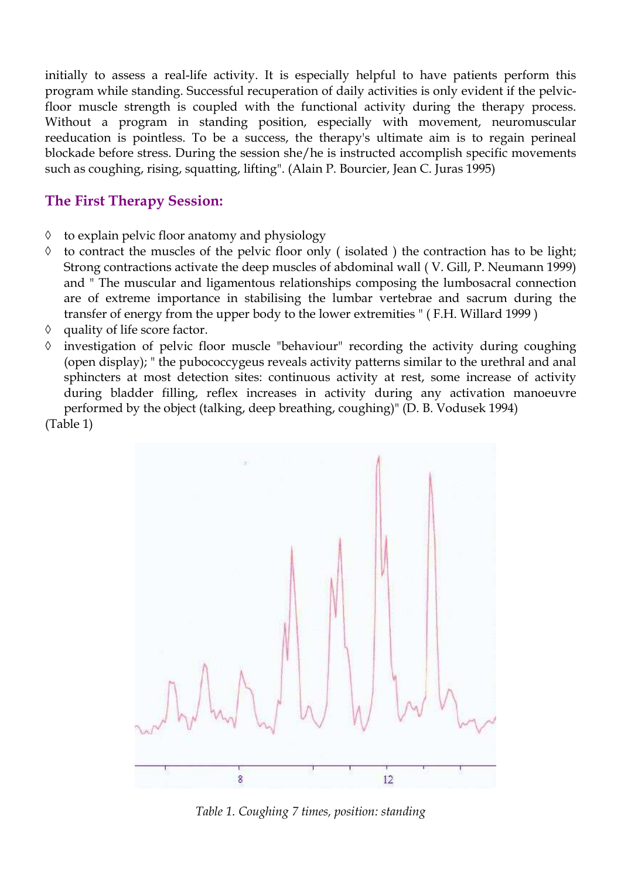initially to assess a real-life activity. It is especially helpful to have patients perform this program while standing. Successful recuperation of daily activities is only evident if the pelvicfloor muscle strength is coupled with the functional activity during the therapy process. Without a program in standing position, especially with movement, neuromuscular reeducation is pointless. To be a success, the therapy's ultimate aim is to regain perineal blockade before stress. During the session she/he is instructed accomplish specific movements such as coughing, rising, squatting, lifting". (Alain P. Bourcier, Jean C. Juras 1995)

### **The First Therapy Session:**

- ◊ to explain pelvic floor anatomy and physiology
- ◊ to contract the muscles of the pelvic floor only ( isolated ) the contraction has to be light; Strong contractions activate the deep muscles of abdominal wall ( V. Gill, P. Neumann 1999) and " The muscular and ligamentous relationships composing the lumbosacral connection are of extreme importance in stabilising the lumbar vertebrae and sacrum during the transfer of energy from the upper body to the lower extremities " ( F.H. Willard 1999 )
- ◊ quality of life score factor.
- ◊ investigation of pelvic floor muscle "behaviour" recording the activity during coughing (open display); " the pubococcygeus reveals activity patterns similar to the urethral and anal sphincters at most detection sites: continuous activity at rest, some increase of activity during bladder filling, reflex increases in activity during any activation manoeuvre performed by the object (talking, deep breathing, coughing)" (D. B. Vodusek 1994) (Table 1)



*Table 1. Coughing 7 times, position: standing*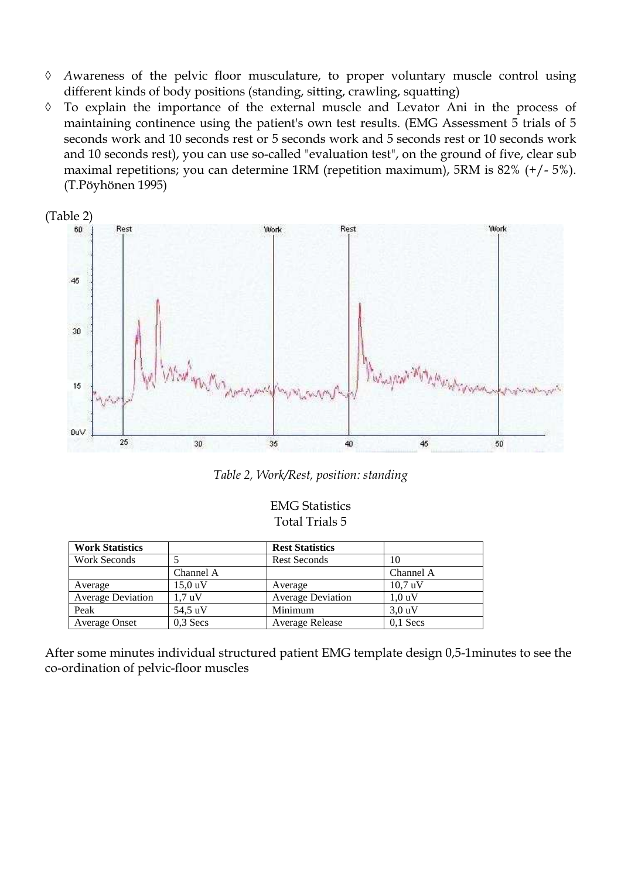- ◊ *A*wareness of the pelvic floor musculature, to proper voluntary muscle control using different kinds of body positions (standing, sitting, crawling, squatting)
- ◊ To explain the importance of the external muscle and Levator Ani in the process of maintaining continence using the patient's own test results. (EMG Assessment 5 trials of 5 seconds work and 10 seconds rest or 5 seconds work and 5 seconds rest or 10 seconds work and 10 seconds rest), you can use so-called "evaluation test", on the ground of five, clear sub maximal repetitions; you can determine 1RM (repetition maximum), 5RM is 82% (+/- 5%). (T.Pöyhönen 1995)



*Table 2, Work/Rest, position: standing* 

#### EMG Statistics Total Trials 5

| <b>Work Statistics</b>   |            | <b>Rest Statistics</b>   |            |
|--------------------------|------------|--------------------------|------------|
| Work Seconds             |            | <b>Rest Seconds</b>      | 10         |
|                          | Channel A  |                          | Channel A  |
| Average                  | $15,0$ uV  | Average                  | 10.7 uV    |
| <b>Average Deviation</b> | 1.7 uV     | <b>Average Deviation</b> | 1.0 uV     |
| Peak                     | 54.5 uV    | Minimum                  | 3.0 uV     |
| <b>Average Onset</b>     | $0.3$ Secs | Average Release          | $0,1$ Secs |

After some minutes individual structured patient EMG template design 0,5-1minutes to see the co-ordination of pelvic-floor muscles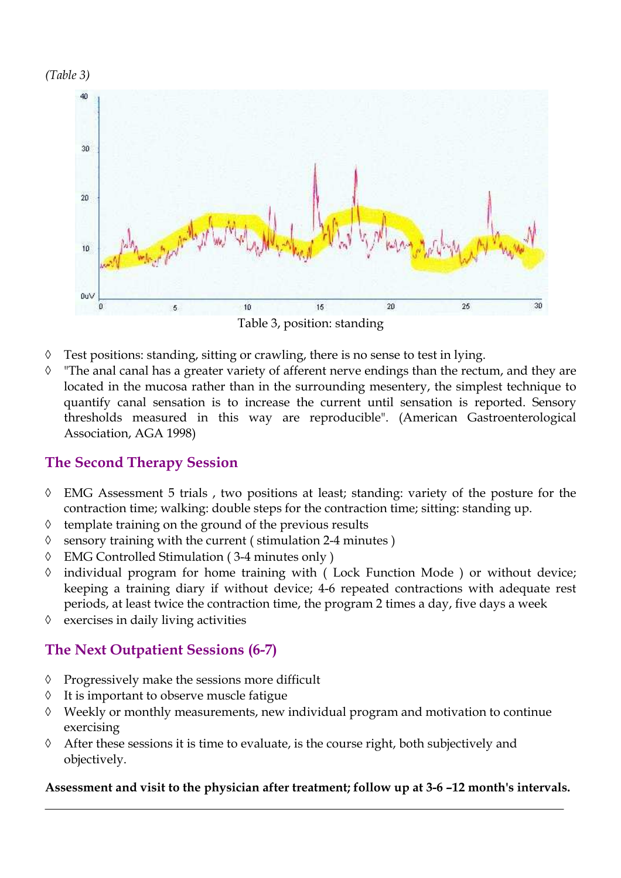



- ◊ Test positions: standing, sitting or crawling, there is no sense to test in lying.
- ◊ "The anal canal has a greater variety of afferent nerve endings than the rectum, and they are located in the mucosa rather than in the surrounding mesentery, the simplest technique to quantify canal sensation is to increase the current until sensation is reported. Sensory thresholds measured in this way are reproducible". (American Gastroenterological Association, AGA 1998)

### **The Second Therapy Session**

- ◊ EMG Assessment 5 trials , two positions at least; standing: variety of the posture for the contraction time; walking: double steps for the contraction time; sitting: standing up.
- ◊ template training on the ground of the previous results
- ◊ sensory training with the current ( stimulation 2-4 minutes )
- ◊ EMG Controlled Stimulation ( 3-4 minutes only )
- ◊ individual program for home training with ( Lock Function Mode ) or without device; keeping a training diary if without device; 4-6 repeated contractions with adequate rest periods, at least twice the contraction time, the program 2 times a day, five days a week
- ◊ exercises in daily living activities

## **The Next Outpatient Sessions (6-7)**

- ◊ Progressively make the sessions more difficult
- ◊ It is important to observe muscle fatigue
- ◊ Weekly or monthly measurements, new individual program and motivation to continue exercising
- ◊ After these sessions it is time to evaluate, is the course right, both subjectively and objectively.

#### **Assessment and visit to the physician after treatment; follow up at 3-6 –12 month's intervals.**